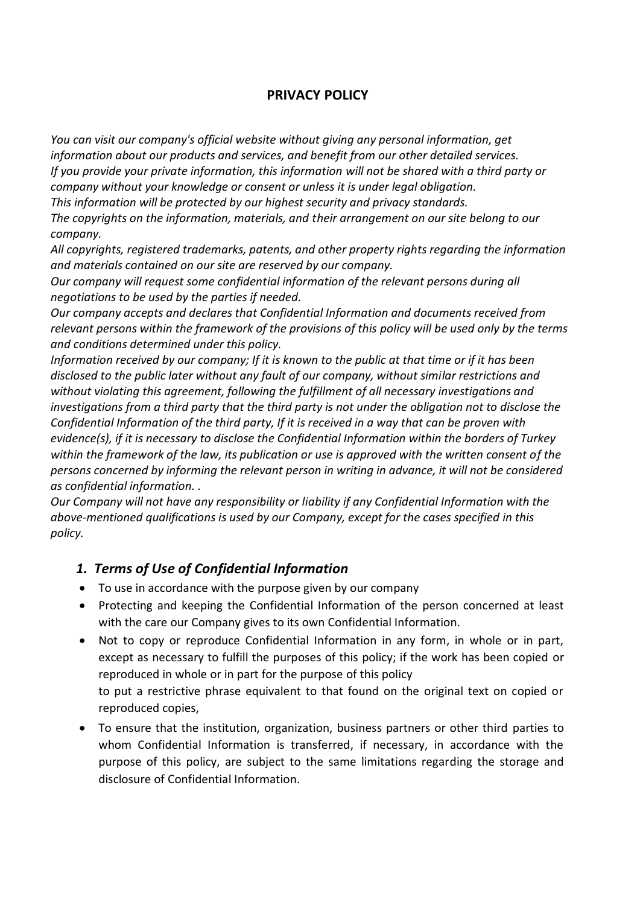# **PRIVACY POLICY**

*You can visit our company's official website without giving any personal information, get information about our products and services, and benefit from our other detailed services. If you provide your private information, this information will not be shared with a third party or company without your knowledge or consent or unless it is under legal obligation.*

*This information will be protected by our highest security and privacy standards.*

*The copyrights on the information, materials, and their arrangement on our site belong to our company.*

*All copyrights, registered trademarks, patents, and other property rights regarding the information and materials contained on our site are reserved by our company.*

*Our company will request some confidential information of the relevant persons during all negotiations to be used by the parties if needed.*

*Our company accepts and declares that Confidential Information and documents received from relevant persons within the framework of the provisions of this policy will be used only by the terms and conditions determined under this policy.*

*Information received by our company; If it is known to the public at that time or if it has been disclosed to the public later without any fault of our company, without similar restrictions and without violating this agreement, following the fulfillment of all necessary investigations and investigations from a third party that the third party is not under the obligation not to disclose the Confidential Information of the third party, If it is received in a way that can be proven with evidence(s), if it is necessary to disclose the Confidential Information within the borders of Turkey within the framework of the law, its publication or use is approved with the written consent of the persons concerned by informing the relevant person in writing in advance, it will not be considered as confidential information. .*

*Our Company will not have any responsibility or liability if any Confidential Information with the above-mentioned qualifications is used by our Company, except for the cases specified in this policy.*

## *1. Terms of Use of Confidential Information*

- To use in accordance with the purpose given by our company
- Protecting and keeping the Confidential Information of the person concerned at least with the care our Company gives to its own Confidential Information.
- Not to copy or reproduce Confidential Information in any form, in whole or in part, except as necessary to fulfill the purposes of this policy; if the work has been copied or reproduced in whole or in part for the purpose of this policy to put a restrictive phrase equivalent to that found on the original text on copied or reproduced copies,
- To ensure that the institution, organization, business partners or other third parties to whom Confidential Information is transferred, if necessary, in accordance with the purpose of this policy, are subject to the same limitations regarding the storage and disclosure of Confidential Information.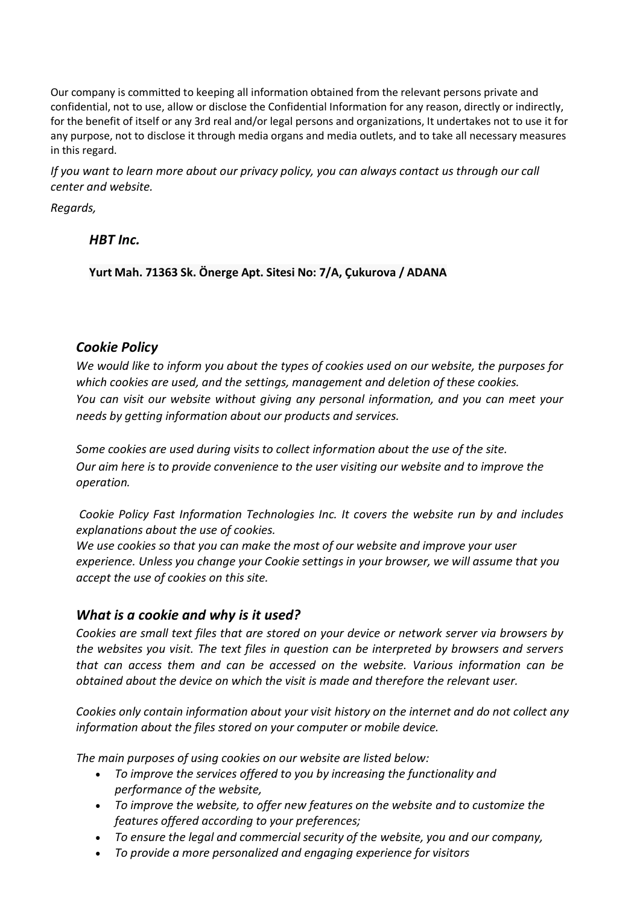Our company is committed to keeping all information obtained from the relevant persons private and confidential, not to use, allow or disclose the Confidential Information for any reason, directly or indirectly, for the benefit of itself or any 3rd real and/or legal persons and organizations, It undertakes not to use it for any purpose, not to disclose it through media organs and media outlets, and to take all necessary measures in this regard.

*If you want to learn more about our privacy policy, you can always contact us through our call center and website.*

*Regards,*

 *HBT Inc.*

**Yurt Mah. 71363 Sk. Önerge Apt. Sitesi No: 7/A, Çukurova / ADANA**

## *Cookie Policy*

*We would like to inform you about the types of cookies used on our website, the purposes for which cookies are used, and the settings, management and deletion of these cookies. You can visit our website without giving any personal information, and you can meet your needs by getting information about our products and services.*

*Some cookies are used during visits to collect information about the use of the site. Our aim here is to provide convenience to the user visiting our website and to improve the operation.*

*Cookie Policy Fast Information Technologies Inc. It covers the website run by and includes explanations about the use of cookies.*

*We use cookies so that you can make the most of our website and improve your user experience. Unless you change your Cookie settings in your browser, we will assume that you accept the use of cookies on this site.*

# *What is a cookie and why is it used?*

*Cookies are small text files that are stored on your device or network server via browsers by the websites you visit. The text files in question can be interpreted by browsers and servers that can access them and can be accessed on the website. Various information can be obtained about the device on which the visit is made and therefore the relevant user.*

*Cookies only contain information about your visit history on the internet and do not collect any information about the files stored on your computer or mobile device.*

*The main purposes of using cookies on our website are listed below:*

- *To improve the services offered to you by increasing the functionality and performance of the website,*
- *To improve the website, to offer new features on the website and to customize the features offered according to your preferences;*
- *To ensure the legal and commercial security of the website, you and our company,*
- *To provide a more personalized and engaging experience for visitors*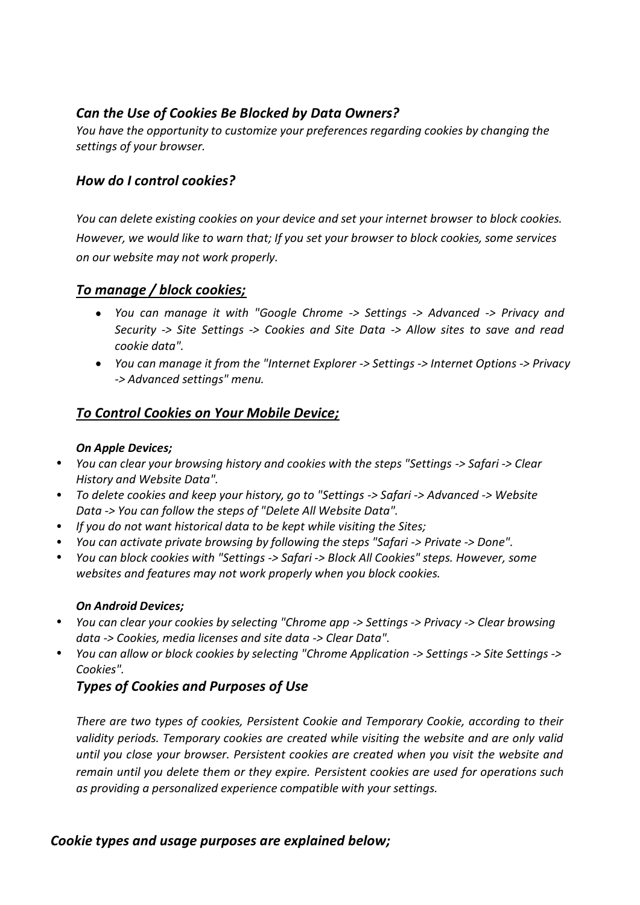# *Can the Use of Cookies Be Blocked by Data Owners?*

*You have the opportunity to customize your preferences regarding cookies by changing the settings of your browser.*

## *How do I control cookies?*

*You can delete existing cookies on your device and set your internet browser to block cookies. However, we would like to warn that; If you set your browser to block cookies, some services on our website may not work properly.*

## *To manage / block cookies;*

- *You can manage it with "Google Chrome -> Settings -> Advanced -> Privacy and Security -> Site Settings -> Cookies and Site Data -> Allow sites to save and read cookie data".*
- *You can manage it from the "Internet Explorer -> Settings -> Internet Options -> Privacy -> Advanced settings" menu.*

# *To Control Cookies on Your Mobile Device;*

### *On Apple Devices;*

- *You can clear your browsing history and cookies with the steps "Settings -> Safari -> Clear History and Website Data".*
- *To delete cookies and keep your history, go to "Settings -> Safari -> Advanced -> Website Data -> You can follow the steps of "Delete All Website Data".*
- *If you do not want historical data to be kept while visiting the Sites;*
- *You can activate private browsing by following the steps "Safari -> Private -> Done".*
- *You can block cookies with "Settings -> Safari -> Block All Cookies" steps. However, some websites and features may not work properly when you block cookies.*

### *On Android Devices;*

- *You can clear your cookies by selecting "Chrome app -> Settings -> Privacy -> Clear browsing data -> Cookies, media licenses and site data -> Clear Data".*
- *You can allow or block cookies by selecting "Chrome Application -> Settings -> Site Settings -> Cookies".*

# *Types of Cookies and Purposes of Use*

*There are two types of cookies, Persistent Cookie and Temporary Cookie, according to their validity periods. Temporary cookies are created while visiting the website and are only valid until you close your browser. Persistent cookies are created when you visit the website and remain until you delete them or they expire. Persistent cookies are used for operations such as providing a personalized experience compatible with your settings.*

## *Cookie types and usage purposes are explained below;*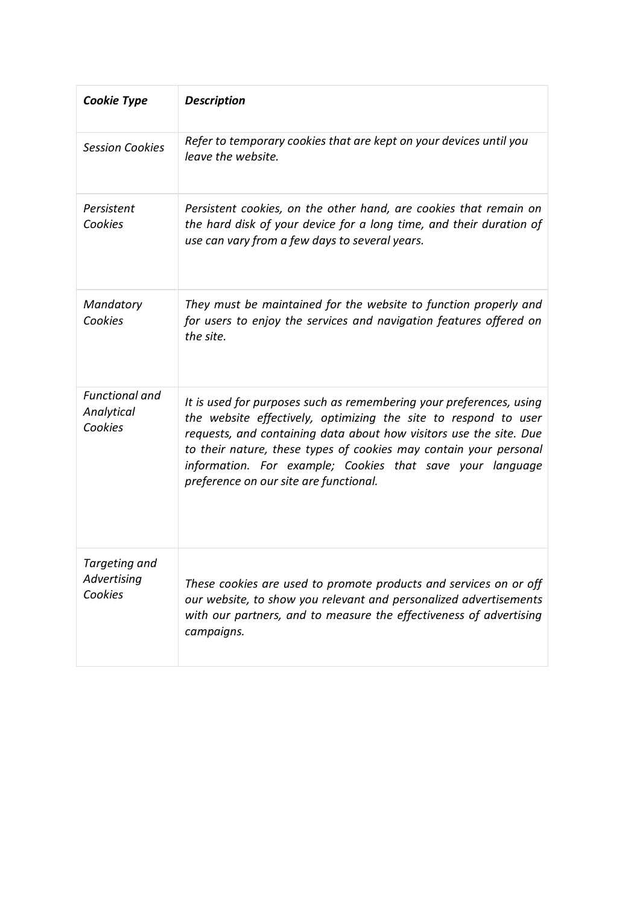| <b>Cookie Type</b>                             | <b>Description</b>                                                                                                                                                                                                                                                                                                                                                                       |
|------------------------------------------------|------------------------------------------------------------------------------------------------------------------------------------------------------------------------------------------------------------------------------------------------------------------------------------------------------------------------------------------------------------------------------------------|
| <b>Session Cookies</b>                         | Refer to temporary cookies that are kept on your devices until you<br>leave the website.                                                                                                                                                                                                                                                                                                 |
| Persistent<br>Cookies                          | Persistent cookies, on the other hand, are cookies that remain on<br>the hard disk of your device for a long time, and their duration of<br>use can vary from a few days to several years.                                                                                                                                                                                               |
| Mandatory<br>Cookies                           | They must be maintained for the website to function properly and<br>for users to enjoy the services and navigation features offered on<br>the site.                                                                                                                                                                                                                                      |
| <b>Functional and</b><br>Analytical<br>Cookies | It is used for purposes such as remembering your preferences, using<br>the website effectively, optimizing the site to respond to user<br>requests, and containing data about how visitors use the site. Due<br>to their nature, these types of cookies may contain your personal<br>information. For example; Cookies that save your language<br>preference on our site are functional. |
| Targeting and<br>Advertising<br>Cookies        | These cookies are used to promote products and services on or off<br>our website, to show you relevant and personalized advertisements<br>with our partners, and to measure the effectiveness of advertising<br>campaigns.                                                                                                                                                               |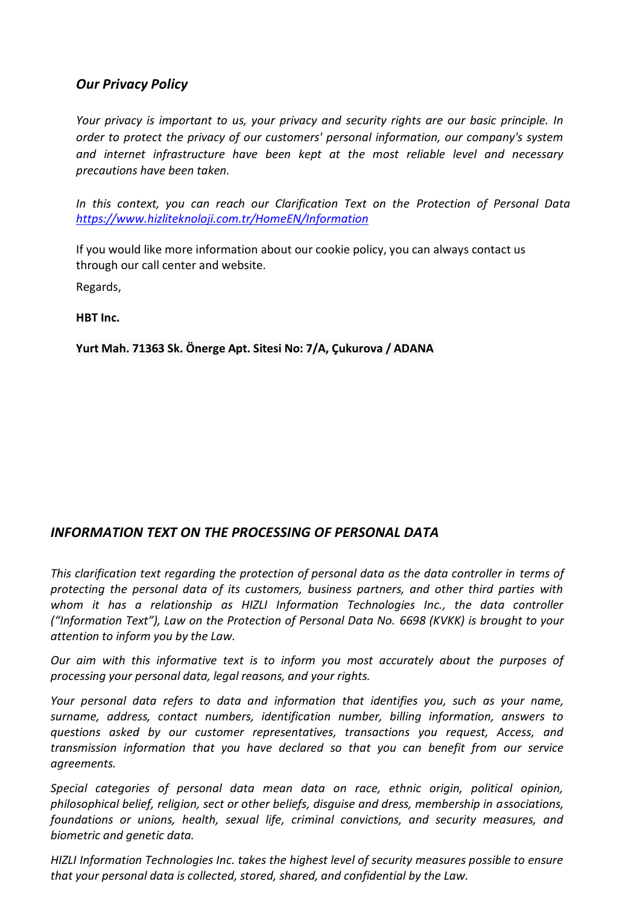## *Our Privacy Policy*

*Your privacy is important to us, your privacy and security rights are our basic principle. In order to protect the privacy of our customers' personal information, our company's system and internet infrastructure have been kept at the most reliable level and necessary precautions have been taken.*

*In this context, you can reach our Clarification Text on the Protection of Personal Data <https://www.hizliteknoloji.com.tr/HomeEN/Information>*

If you would like more information about our cookie policy, you can always contact us through our call center and website.

Regards,

**HBT Inc.**

**Yurt Mah. 71363 Sk. Önerge Apt. Sitesi No: 7/A, Çukurova / ADANA**

## *INFORMATION TEXT ON THE PROCESSING OF PERSONAL DATA*

*This clarification text regarding the protection of personal data as the data controller in terms of protecting the personal data of its customers, business partners, and other third parties with*  whom it has a relationship as HIZLI Information Technologies Inc., the data controller *("Information Text"), Law on the Protection of Personal Data No. 6698 (KVKK) is brought to your attention to inform you by the Law.*

*Our aim with this informative text is to inform you most accurately about the purposes of processing your personal data, legal reasons, and your rights.*

*Your personal data refers to data and information that identifies you, such as your name, surname, address, contact numbers, identification number, billing information, answers to questions asked by our customer representatives, transactions you request, Access, and transmission information that you have declared so that you can benefit from our service agreements.*

*Special categories of personal data mean data on race, ethnic origin, political opinion, philosophical belief, religion, sect or other beliefs, disguise and dress, membership in associations, foundations or unions, health, sexual life, criminal convictions, and security measures, and biometric and genetic data.* 

*HIZLI Information Technologies Inc. takes the highest level of security measures possible to ensure that your personal data is collected, stored, shared, and confidential by the Law.*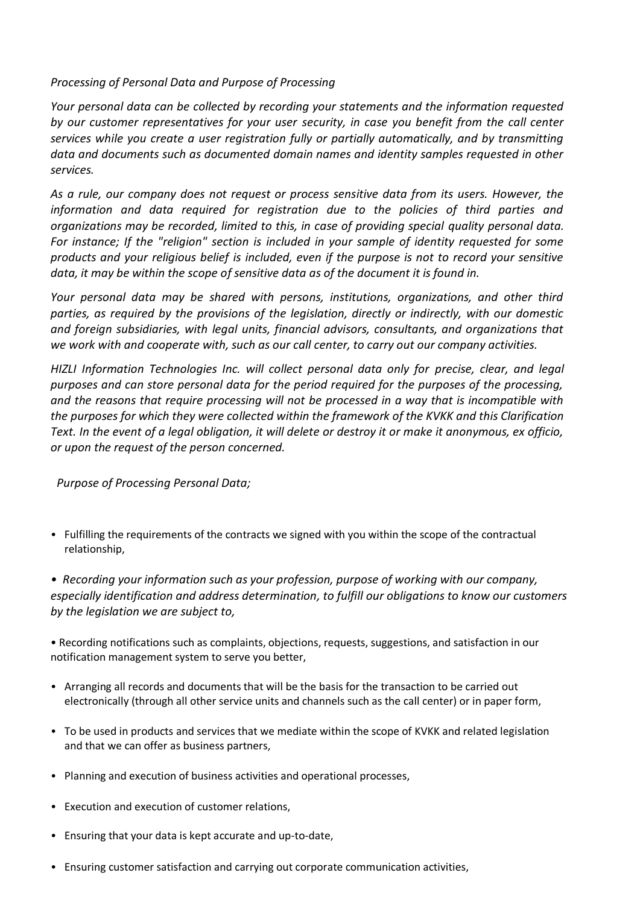#### *Processing of Personal Data and Purpose of Processing*

*Your personal data can be collected by recording your statements and the information requested by our customer representatives for your user security, in case you benefit from the call center services while you create a user registration fully or partially automatically, and by transmitting data and documents such as documented domain names and identity samples requested in other services.*

*As a rule, our company does not request or process sensitive data from its users. However, the information and data required for registration due to the policies of third parties and organizations may be recorded, limited to this, in case of providing special quality personal data. For instance; If the "religion" section is included in your sample of identity requested for some products and your religious belief is included, even if the purpose is not to record your sensitive data, it may be within the scope of sensitive data as of the document it is found in.*

*Your personal data may be shared with persons, institutions, organizations, and other third parties, as required by the provisions of the legislation, directly or indirectly, with our domestic and foreign subsidiaries, with legal units, financial advisors, consultants, and organizations that we work with and cooperate with, such as our call center, to carry out our company activities.* 

*HIZLI Information Technologies Inc. will collect personal data only for precise, clear, and legal purposes and can store personal data for the period required for the purposes of the processing, and the reasons that require processing will not be processed in a way that is incompatible with the purposes for which they were collected within the framework of the KVKK and this Clarification Text. In the event of a legal obligation, it will delete or destroy it or make it anonymous, ex officio, or upon the request of the person concerned.*

*Purpose of Processing Personal Data;*

• Fulfilling the requirements of the contracts we signed with you within the scope of the contractual relationship,

*• Recording your information such as your profession, purpose of working with our company, especially identification and address determination, to fulfill our obligations to know our customers by the legislation we are subject to,*

• Recording notifications such as complaints, objections, requests, suggestions, and satisfaction in our notification management system to serve you better,

- Arranging all records and documents that will be the basis for the transaction to be carried out electronically (through all other service units and channels such as the call center) or in paper form,
- To be used in products and services that we mediate within the scope of KVKK and related legislation and that we can offer as business partners,
- Planning and execution of business activities and operational processes,
- Execution and execution of customer relations,
- Ensuring that your data is kept accurate and up-to-date,
- Ensuring customer satisfaction and carrying out corporate communication activities,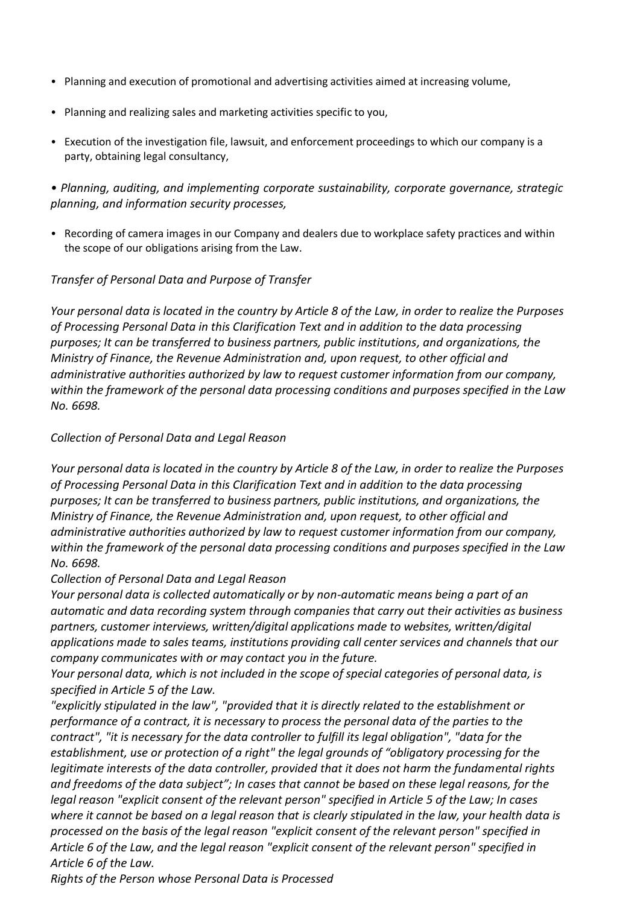- Planning and execution of promotional and advertising activities aimed at increasing volume,
- Planning and realizing sales and marketing activities specific to you,
- Execution of the investigation file, lawsuit, and enforcement proceedings to which our company is a party, obtaining legal consultancy,

*• Planning, auditing, and implementing corporate sustainability, corporate governance, strategic planning, and information security processes,*

• Recording of camera images in our Company and dealers due to workplace safety practices and within the scope of our obligations arising from the Law.

### *Transfer of Personal Data and Purpose of Transfer*

*Your personal data is located in the country by Article 8 of the Law, in order to realize the Purposes of Processing Personal Data in this Clarification Text and in addition to the data processing purposes; It can be transferred to business partners, public institutions, and organizations, the Ministry of Finance, the Revenue Administration and, upon request, to other official and administrative authorities authorized by law to request customer information from our company, within the framework of the personal data processing conditions and purposes specified in the Law No. 6698.*

#### *Collection of Personal Data and Legal Reason*

*Your personal data is located in the country by Article 8 of the Law, in order to realize the Purposes of Processing Personal Data in this Clarification Text and in addition to the data processing purposes; It can be transferred to business partners, public institutions, and organizations, the Ministry of Finance, the Revenue Administration and, upon request, to other official and administrative authorities authorized by law to request customer information from our company, within the framework of the personal data processing conditions and purposes specified in the Law No. 6698.*

#### *Collection of Personal Data and Legal Reason*

*Your personal data is collected automatically or by non-automatic means being a part of an automatic and data recording system through companies that carry out their activities as business partners, customer interviews, written/digital applications made to websites, written/digital applications made to sales teams, institutions providing call center services and channels that our company communicates with or may contact you in the future.* 

*Your personal data, which is not included in the scope of special categories of personal data, is specified in Article 5 of the Law.*

*"explicitly stipulated in the law", "provided that it is directly related to the establishment or performance of a contract, it is necessary to process the personal data of the parties to the contract", "it is necessary for the data controller to fulfill its legal obligation", "data for the establishment, use or protection of a right" the legal grounds of "obligatory processing for the legitimate interests of the data controller, provided that it does not harm the fundamental rights and freedoms of the data subject"; In cases that cannot be based on these legal reasons, for the legal reason "explicit consent of the relevant person" specified in Article 5 of the Law; In cases where it cannot be based on a legal reason that is clearly stipulated in the law, your health data is processed on the basis of the legal reason "explicit consent of the relevant person" specified in Article 6 of the Law, and the legal reason "explicit consent of the relevant person" specified in Article 6 of the Law.*

*Rights of the Person whose Personal Data is Processed*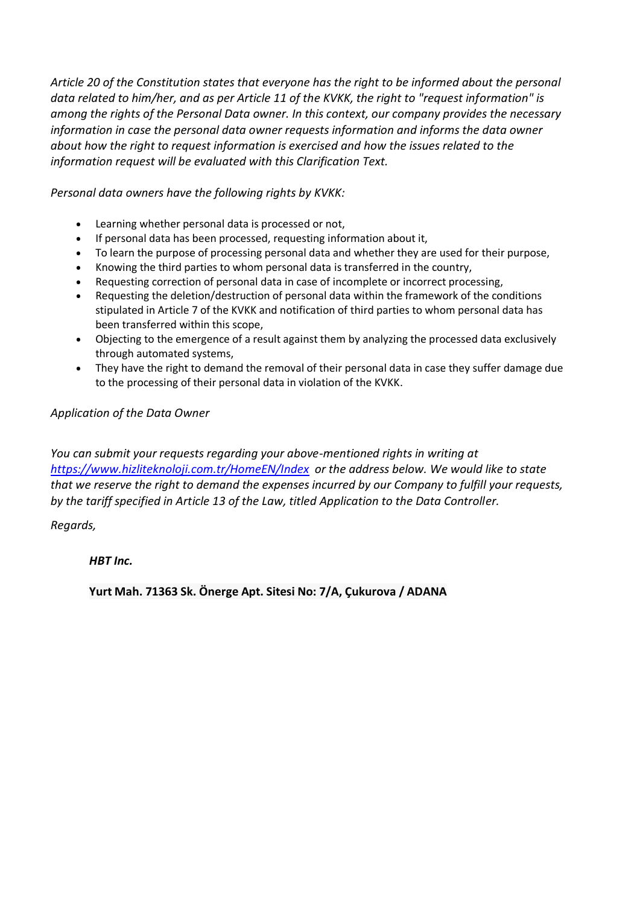*Article 20 of the Constitution states that everyone has the right to be informed about the personal data related to him/her, and as per Article 11 of the KVKK, the right to "request information" is among the rights of the Personal Data owner. In this context, our company provides the necessary information in case the personal data owner requests information and informs the data owner about how the right to request information is exercised and how the issues related to the information request will be evaluated with this Clarification Text.*

*Personal data owners have the following rights by KVKK:*

- Learning whether personal data is processed or not,
- If personal data has been processed, requesting information about it,
- To learn the purpose of processing personal data and whether they are used for their purpose,
- Knowing the third parties to whom personal data is transferred in the country,
- Requesting correction of personal data in case of incomplete or incorrect processing,
- Requesting the deletion/destruction of personal data within the framework of the conditions stipulated in Article 7 of the KVKK and notification of third parties to whom personal data has been transferred within this scope,
- Objecting to the emergence of a result against them by analyzing the processed data exclusively through automated systems,
- They have the right to demand the removal of their personal data in case they suffer damage due to the processing of their personal data in violation of the KVKK.

*Application of the Data Owner*

*You can submit your requests regarding your above-mentioned rights in writing at <https://www.hizliteknoloji.com.tr/HomeEN/Index> or the address below. We would like to state that we reserve the right to demand the expenses incurred by our Company to fulfill your requests, by the tariff specified in Article 13 of the Law, titled Application to the Data Controller.*

*Regards,*

*HBT Inc.*

**Yurt Mah. 71363 Sk. Önerge Apt. Sitesi No: 7/A, Çukurova / ADANA**